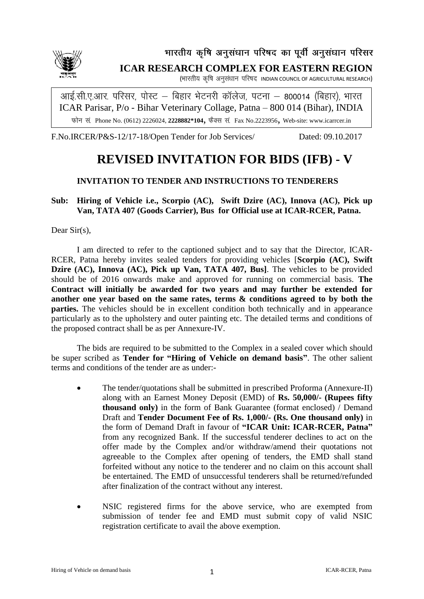

# भारतीय कृषि अनुसंधान परिषद का पूर्वी अनुसंधान परिसर **ICAR RESEARCH COMPLEX FOR EASTERN REGION**

(भारतीय कृषि अनूसंधान परिषद INDIAN COUNCIL OF AGRICULTURAL RESEARCH)

आई.सी.ए.आर. परिसर, पोस्ट – बिहार भेटनरी कॉलेज, पटना – 800014 (बिहार), भारत ICAR Parisar, P/o - Bihar Veterinary Collage, Patna – 800 014 (Bihar), INDIA Phone No. (0612) 2226024, **2228882\*104**, Fax No.2223956, Web-site: www.icarrcer.in

F.No.IRCER/P&S-12/17-18/Open Tender for Job Services/ Dated: 09.10.2017

# **REVISED INVITATION FOR BIDS (IFB) - V**

# **INVITATION TO TENDER AND INSTRUCTIONS TO TENDERERS**

## **Sub: Hiring of Vehicle i.e., Scorpio (AC), Swift Dzire (AC), Innova (AC), Pick up Van, TATA 407 (Goods Carrier), Bus for Official use at ICAR-RCER, Patna.**

Dear Sir(s),

I am directed to refer to the captioned subject and to say that the Director, ICAR-RCER, Patna hereby invites sealed tenders for providing vehicles [**Scorpio (AC), Swift Dzire (AC), Innova (AC), Pick up Van, TATA 407, Bus]**. The vehicles to be provided should be of 2016 onwards make and approved for running on commercial basis. **The Contract will initially be awarded for two years and may further be extended for another one year based on the same rates, terms & conditions agreed to by both the parties.** The vehicles should be in excellent condition both technically and in appearance particularly as to the upholstery and outer painting etc. The detailed terms and conditions of the proposed contract shall be as per Annexure-IV.

The bids are required to be submitted to the Complex in a sealed cover which should be super scribed as **Tender for "Hiring of Vehicle on demand basis"**. The other salient terms and conditions of the tender are as under:-

- The tender/quotations shall be submitted in prescribed Proforma (Annexure-II) along with an Earnest Money Deposit (EMD) of **Rs. 50,000/- (Rupees fifty thousand only)** in the form of Bank Guarantee (format enclosed) / Demand Draft and **Tender Document Fee of Rs. 1,000/- (Rs. One thousand only)** in the form of Demand Draft in favour of **"ICAR Unit: ICAR-RCER, Patna"** from any recognized Bank. If the successful tenderer declines to act on the offer made by the Complex and/or withdraw/amend their quotations not agreeable to the Complex after opening of tenders, the EMD shall stand forfeited without any notice to the tenderer and no claim on this account shall be entertained. The EMD of unsuccessful tenderers shall be returned/refunded after finalization of the contract without any interest.
- NSIC registered firms for the above service, who are exempted from submission of tender fee and EMD must submit copy of valid NSIC registration certificate to avail the above exemption.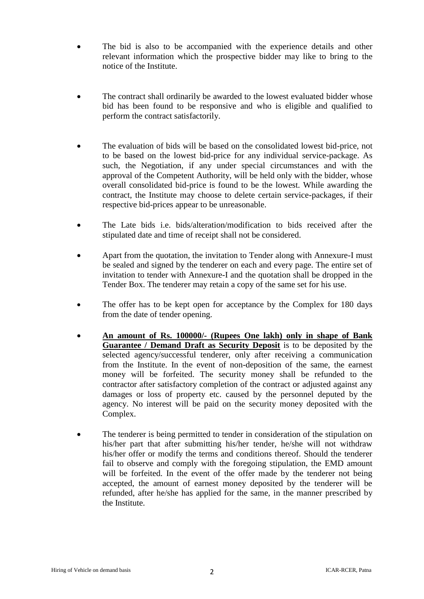- The bid is also to be accompanied with the experience details and other relevant information which the prospective bidder may like to bring to the notice of the Institute.
- The contract shall ordinarily be awarded to the lowest evaluated bidder whose bid has been found to be responsive and who is eligible and qualified to perform the contract satisfactorily.
- The evaluation of bids will be based on the consolidated lowest bid-price, not to be based on the lowest bid-price for any individual service-package. As such, the Negotiation, if any under special circumstances and with the approval of the Competent Authority, will be held only with the bidder, whose overall consolidated bid-price is found to be the lowest. While awarding the contract, the Institute may choose to delete certain service-packages, if their respective bid-prices appear to be unreasonable.
- The Late bids i.e. bids/alteration/modification to bids received after the stipulated date and time of receipt shall not be considered.
- Apart from the quotation, the invitation to Tender along with Annexure-I must be sealed and signed by the tenderer on each and every page. The entire set of invitation to tender with Annexure-I and the quotation shall be dropped in the Tender Box. The tenderer may retain a copy of the same set for his use.
- The offer has to be kept open for acceptance by the Complex for 180 days from the date of tender opening.
- **An amount of Rs. 100000/- (Rupees One lakh) only in shape of Bank Guarantee / Demand Draft as Security Deposit** is to be deposited by the selected agency/successful tenderer, only after receiving a communication from the Institute. In the event of non-deposition of the same, the earnest money will be forfeited. The security money shall be refunded to the contractor after satisfactory completion of the contract or adjusted against any damages or loss of property etc. caused by the personnel deputed by the agency. No interest will be paid on the security money deposited with the Complex.
- The tenderer is being permitted to tender in consideration of the stipulation on his/her part that after submitting his/her tender, he/she will not withdraw his/her offer or modify the terms and conditions thereof. Should the tenderer fail to observe and comply with the foregoing stipulation, the EMD amount will be forfeited. In the event of the offer made by the tenderer not being accepted, the amount of earnest money deposited by the tenderer will be refunded, after he/she has applied for the same, in the manner prescribed by the Institute.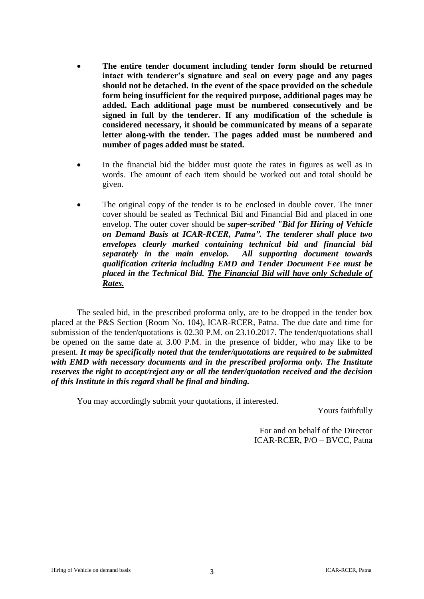- **The entire tender document including tender form should be returned intact with tenderer's signature and seal on every page and any pages should not be detached. In the event of the space provided on the schedule form being insufficient for the required purpose, additional pages may be added. Each additional page must be numbered consecutively and be signed in full by the tenderer. If any modification of the schedule is considered necessary, it should be communicated by means of a separate letter along-with the tender. The pages added must be numbered and number of pages added must be stated.**
- In the financial bid the bidder must quote the rates in figures as well as in words. The amount of each item should be worked out and total should be given.
- The original copy of the tender is to be enclosed in double cover. The inner cover should be sealed as Technical Bid and Financial Bid and placed in one envelop. The outer cover should be *super-scribed "Bid for Hiring of Vehicle on Demand Basis at ICAR-RCER, Patna". The tenderer shall place two envelopes clearly marked containing technical bid and financial bid separately in the main envelop. All supporting document towards qualification criteria including EMD and Tender Document Fee must be placed in the Technical Bid. The Financial Bid will have only Schedule of Rates.*

The sealed bid, in the prescribed proforma only, are to be dropped in the tender box placed at the P&S Section (Room No. 104), ICAR-RCER, Patna. The due date and time for submission of the tender/quotations is 02.30 P.M. on 23.10.2017. The tender/quotations shall be opened on the same date at 3.00 P.M. in the presence of bidder, who may like to be present. *It may be specifically noted that the tender/quotations are required to be submitted with EMD with necessary documents and in the prescribed proforma only. The Institute reserves the right to accept/reject any or all the tender/quotation received and the decision of this Institute in this regard shall be final and binding.*

You may accordingly submit your quotations, if interested.

Yours faithfully

For and on behalf of the Director ICAR-RCER, P/O – BVCC, Patna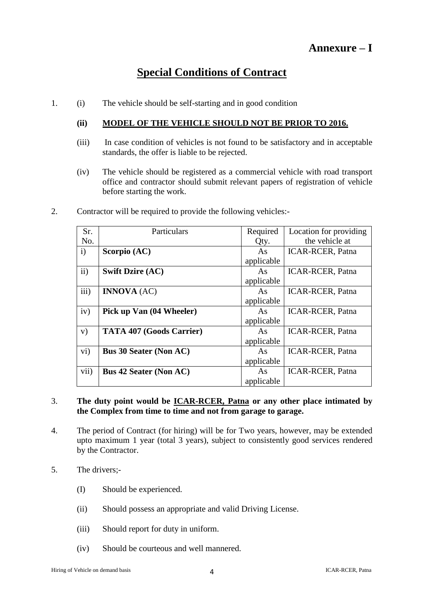# **Special Conditions of Contract**

1. (i) The vehicle should be self-starting and in good condition

## **(ii) MODEL OF THE VEHICLE SHOULD NOT BE PRIOR TO 2016.**

- (iii) In case condition of vehicles is not found to be satisfactory and in acceptable standards, the offer is liable to be rejected.
- (iv) The vehicle should be registered as a commercial vehicle with road transport office and contractor should submit relevant papers of registration of vehicle before starting the work.
- Sr. No. Particulars Required Qty. Location for providing the vehicle at i) **Scorpio (AC)** As applicable ICAR-RCER, Patna ii) **Swift Dzire (AC)** As applicable ICAR-RCER, Patna iii) **INNOVA**  $(AC)$  As applicable ICAR-RCER, Patna iv) **Pick up Van (04 Wheeler)** As applicable ICAR-RCER, Patna v) **TATA 407 (Goods Carrier)** As applicable ICAR-RCER, Patna vi) **Bus 30 Seater (Non AC)** As applicable ICAR-RCER, Patna vii) **Bus 42 Seater (Non AC)** As ICAR-RCER, Patna
- 2. Contractor will be required to provide the following vehicles:-

# 3. **The duty point would be ICAR-RCER, Patna or any other place intimated by the Complex from time to time and not from garage to garage.**

applicable

- 4. The period of Contract (for hiring) will be for Two years, however, may be extended upto maximum 1 year (total 3 years), subject to consistently good services rendered by the Contractor.
- 5. The drivers;-
	- (I) Should be experienced.
	- (ii) Should possess an appropriate and valid Driving License.
	- (iii) Should report for duty in uniform.
	- (iv) Should be courteous and well mannered.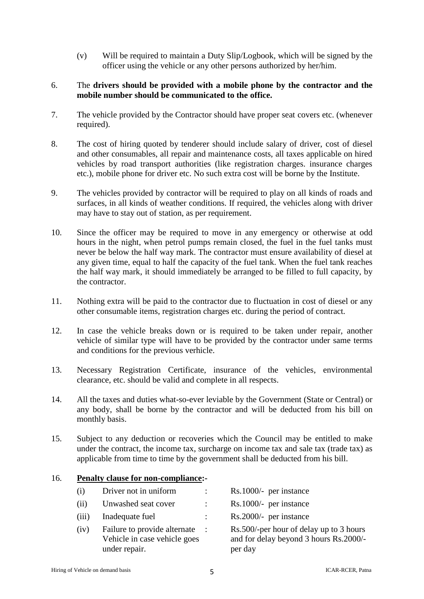(v) Will be required to maintain a Duty Slip/Logbook, which will be signed by the officer using the vehicle or any other persons authorized by her/him.

## 6. The **drivers should be provided with a mobile phone by the contractor and the mobile number should be communicated to the office.**

- 7. The vehicle provided by the Contractor should have proper seat covers etc. (whenever required).
- 8. The cost of hiring quoted by tenderer should include salary of driver, cost of diesel and other consumables, all repair and maintenance costs, all taxes applicable on hired vehicles by road transport authorities (like registration charges. insurance charges etc.), mobile phone for driver etc. No such extra cost will be borne by the Institute.
- 9. The vehicles provided by contractor will be required to play on all kinds of roads and surfaces, in all kinds of weather conditions. If required, the vehicles along with driver may have to stay out of station, as per requirement.
- 10. Since the officer may be required to move in any emergency or otherwise at odd hours in the night, when petrol pumps remain closed, the fuel in the fuel tanks must never be below the half way mark. The contractor must ensure availability of diesel at any given time, equal to half the capacity of the fuel tank. When the fuel tank reaches the half way mark, it should immediately be arranged to be filled to full capacity, by the contractor.
- 11. Nothing extra will be paid to the contractor due to fluctuation in cost of diesel or any other consumable items, registration charges etc. during the period of contract.
- 12. In case the vehicle breaks down or is required to be taken under repair, another vehicle of similar type will have to be provided by the contractor under same terms and conditions for the previous verhicle.
- 13. Necessary Registration Certificate, insurance of the vehicles, environmental clearance, etc. should be valid and complete in all respects.
- 14. All the taxes and duties what-so-ever leviable by the Government (State or Central) or any body, shall be borne by the contractor and will be deducted from his bill on monthly basis.
- 15. Subject to any deduction or recoveries which the Council may be entitled to make under the contract, the income tax, surcharge on income tax and sale tax (trade tax) as applicable from time to time by the government shall be deducted from his bill.

### 16. **Penalty clause for non-compliance:-**

| (i)   | Driver not in uniform                                                         | $\mathbb{R}^n$            | Rs.1000/- per instance                                                                       |
|-------|-------------------------------------------------------------------------------|---------------------------|----------------------------------------------------------------------------------------------|
| (ii)  | Unwashed seat cover                                                           | $\mathbb{R}^{\mathbb{Z}}$ | Rs.1000/- per instance                                                                       |
| (iii) | Inadequate fuel                                                               | $\mathbb{Z}^{\mathbb{Z}}$ | Rs.2000/- per instance                                                                       |
| (iv)  | Failure to provide alternate<br>Vehicle in case vehicle goes<br>under repair. | $\sim 10$                 | Rs.500/-per hour of delay up to 3 hours<br>and for delay beyond 3 hours Rs.2000/-<br>per day |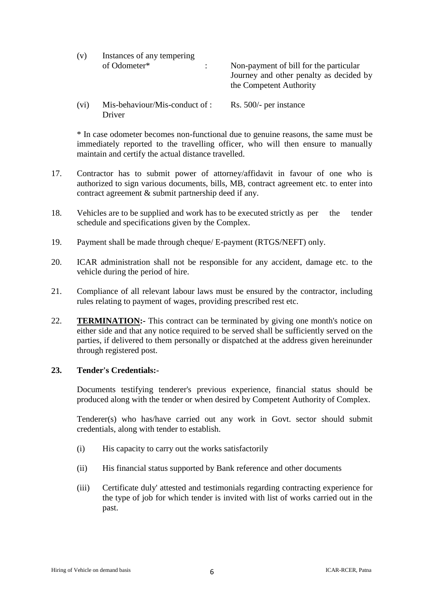| (v)  | Instances of any tempering               |                                                                                                              |
|------|------------------------------------------|--------------------------------------------------------------------------------------------------------------|
|      | of Odometer*                             | Non-payment of bill for the particular<br>Journey and other penalty as decided by<br>the Competent Authority |
| (vi) | Mis-behaviour/Mis-conduct of :<br>Driver | Rs. 500/- per instance                                                                                       |

\* In case odometer becomes non-functional due to genuine reasons, the same must be immediately reported to the travelling officer, who will then ensure to manually maintain and certify the actual distance travelled.

- 17. Contractor has to submit power of attorney/affidavit in favour of one who is authorized to sign various documents, bills, MB, contract agreement etc. to enter into contract agreement & submit partnership deed if any.
- 18. Vehicles are to be supplied and work has to be executed strictly as per the tender schedule and specifications given by the Complex.
- 19. Payment shall be made through cheque/ E-payment (RTGS/NEFT) only.
- 20. ICAR administration shall not be responsible for any accident, damage etc. to the vehicle during the period of hire.
- 21. Compliance of all relevant labour laws must be ensured by the contractor, including rules relating to payment of wages, providing prescribed rest etc.
- 22. **TERMINATION:-** This contract can be terminated by giving one month's notice on either side and that any notice required to be served shall be sufficiently served on the parties, if delivered to them personally or dispatched at the address given hereinunder through registered post.

#### **23. Tender's Credentials:-**

Documents testifying tenderer's previous experience, financial status should be produced along with the tender or when desired by Competent Authority of Complex.

Tenderer(s) who has/have carried out any work in Govt. sector should submit credentials, along with tender to establish.

- (i) His capacity to carry out the works satisfactorily
- (ii) His financial status supported by Bank reference and other documents
- (iii) Certificate duly' attested and testimonials regarding contracting experience for the type of job for which tender is invited with list of works carried out in the past.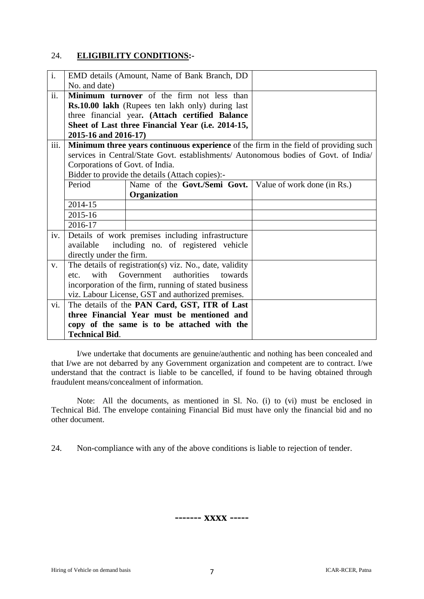## 24. **ELIGIBILITY CONDITIONS:-**

| $\overline{i}$ . |                                 | EMD details (Amount, Name of Bank Branch, DD                                         |                             |
|------------------|---------------------------------|--------------------------------------------------------------------------------------|-----------------------------|
|                  | No. and date)                   |                                                                                      |                             |
| ii.              |                                 | Minimum turnover of the firm not less than                                           |                             |
|                  |                                 | <b>Rs.10.00 lakh</b> (Rupees ten lakh only) during last                              |                             |
|                  |                                 | three financial year. (Attach certified Balance                                      |                             |
|                  |                                 | Sheet of Last three Financial Year (i.e. 2014-15,                                    |                             |
|                  | 2015-16 and 2016-17)            |                                                                                      |                             |
| iii.             |                                 | Minimum three years continuous experience of the firm in the field of providing such |                             |
|                  |                                 | services in Central/State Govt. establishments/ Autonomous bodies of Govt. of India/ |                             |
|                  | Corporations of Govt. of India. |                                                                                      |                             |
|                  |                                 | Bidder to provide the details (Attach copies):-                                      |                             |
|                  | Period                          | Name of the Govt./Semi Govt.                                                         | Value of work done (in Rs.) |
|                  |                                 | Organization                                                                         |                             |
|                  | 2014-15                         |                                                                                      |                             |
|                  | 2015-16                         |                                                                                      |                             |
|                  | 2016-17                         |                                                                                      |                             |
| iv.              |                                 | Details of work premises including infrastructure                                    |                             |
|                  | available                       | including no. of registered vehicle                                                  |                             |
|                  | directly under the firm.        |                                                                                      |                             |
| V.               |                                 | The details of registration(s) viz. No., date, validity                              |                             |
|                  | etc.                            | with Government authorities<br>towards                                               |                             |
|                  |                                 | incorporation of the firm, running of stated business                                |                             |
|                  |                                 | viz. Labour License, GST and authorized premises.                                    |                             |
| vi.              |                                 | The details of the PAN Card, GST, ITR of Last                                        |                             |
|                  |                                 | three Financial Year must be mentioned and                                           |                             |
|                  |                                 | copy of the same is to be attached with the                                          |                             |
|                  | <b>Technical Bid.</b>           |                                                                                      |                             |

I/we undertake that documents are genuine/authentic and nothing has been concealed and that I/we are not debarred by any Government organization and competent are to contract. I/we understand that the contract is liable to be cancelled, if found to be having obtained through fraudulent means/concealment of information.

Note: All the documents, as mentioned in Sl. No. (i) to (vi) must be enclosed in Technical Bid. The envelope containing Financial Bid must have only the financial bid and no other document.

24. Non-compliance with any of the above conditions is liable to rejection of tender.

**------- xxxx -----**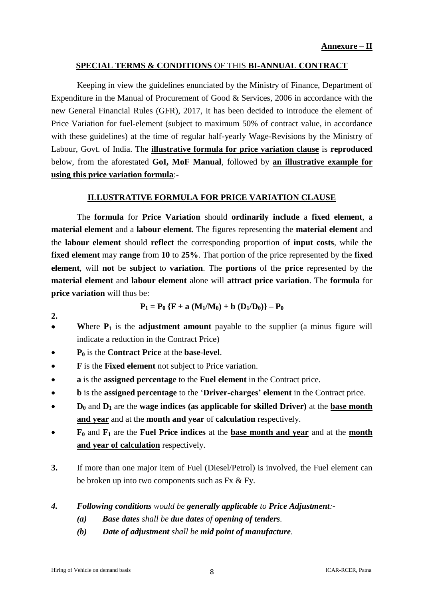## **SPECIAL TERMS & CONDITIONS** OF THIS **BI-ANNUAL CONTRACT**

Keeping in view the guidelines enunciated by the Ministry of Finance, Department of Expenditure in the Manual of Procurement of Good & Services, 2006 in accordance with the new General Financial Rules (GFR), 2017, it has been decided to introduce the element of Price Variation for fuel-element (subject to maximum 50% of contract value, in accordance with these guidelines) at the time of regular half-yearly Wage-Revisions by the Ministry of Labour, Govt. of India. The **illustrative formula for price variation clause** is **reproduced** below, from the aforestated **GoI, MoF Manual**, followed by **an illustrative example for using this price variation formula**:-

## **ILLUSTRATIVE FORMULA FOR PRICE VARIATION CLAUSE**

The **formula** for **Price Variation** should **ordinarily include** a **fixed element**, a **material element** and a **labour element**. The figures representing the **material element** and the **labour element** should **reflect** the corresponding proportion of **input costs**, while the **fixed element** may **range** from **10** to **25%**. That portion of the price represented by the **fixed element**, will **not** be **subject** to **variation**. The **portions** of the **price** represented by the **material element** and **labour element** alone will **attract price variation**. The **formula** for **price variation** will thus be:

$$
P_1 = P_0 \{F + a (M_1/M_0) + b (D_1/D_0)\} - P_0
$$

- Where  $P_1$  is the **adjustment amount** payable to the supplier (a minus figure will indicate a reduction in the Contract Price)
- **P<sup>0</sup>** is the **Contract Price** at the **base-level**.
- **F** is the **Fixed element** not subject to Price variation.
- **a** is the **assigned percentage** to the **Fuel element** in the Contract price.
- **b** is the **assigned percentage** to the "**Driver-charges' element** in the Contract price.
- **D<sup>0</sup>** and **D<sup>1</sup>** are the **wage indices (as applicable for skilled Driver)** at the **base month and year** and at the **month and year** of **calculation** respectively.
- **F<sup>0</sup>** and **F<sup>1</sup>** are the **Fuel Price indices** at the **base month and year** and at the **month and year of calculation** respectively.
- **3.** If more than one major item of Fuel (Diesel/Petrol) is involved, the Fuel element can be broken up into two components such as Fx & Fy.
- *4. Following conditions would be generally applicable to Price Adjustment:-*
	- *(a) Base dates shall be due dates of opening of tenders.*
	- *(b) Date of adjustment shall be mid point of manufacture.*

**2.**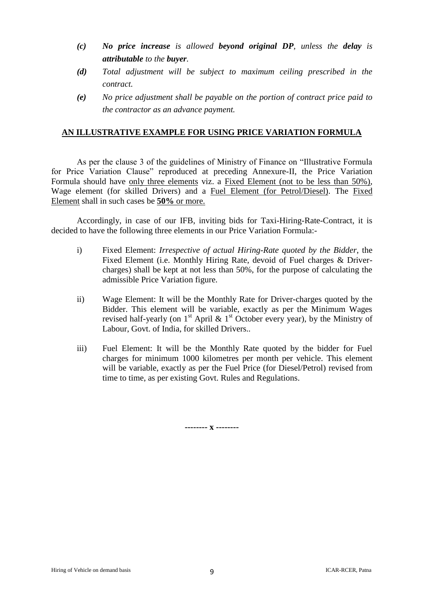- *(c) No price increase is allowed beyond original DP, unless the delay is attributable to the buyer.*
- *(d) Total adjustment will be subject to maximum ceiling prescribed in the contract.*
- *(e) No price adjustment shall be payable on the portion of contract price paid to the contractor as an advance payment.*

## **AN ILLUSTRATIVE EXAMPLE FOR USING PRICE VARIATION FORMULA**

As per the clause 3 of the guidelines of Ministry of Finance on "Illustrative Formula for Price Variation Clause" reproduced at preceding Annexure-II, the Price Variation Formula should have only three elements viz. a Fixed Element (not to be less than 50%), Wage element (for skilled Drivers) and a Fuel Element (for Petrol/Diesel). The Fixed Element shall in such cases be **50%** or more.

Accordingly, in case of our IFB, inviting bids for Taxi-Hiring-Rate-Contract, it is decided to have the following three elements in our Price Variation Formula:-

- i) Fixed Element: *Irrespective of actual Hiring-Rate quoted by the Bidder*, the Fixed Element (i.e. Monthly Hiring Rate, devoid of Fuel charges & Drivercharges) shall be kept at not less than 50%, for the purpose of calculating the admissible Price Variation figure.
- ii) Wage Element: It will be the Monthly Rate for Driver-charges quoted by the Bidder. This element will be variable, exactly as per the Minimum Wages revised half-yearly (on  $1<sup>st</sup>$  April &  $1<sup>st</sup>$  October every year), by the Ministry of Labour, Govt. of India, for skilled Drivers..
- iii) Fuel Element: It will be the Monthly Rate quoted by the bidder for Fuel charges for minimum 1000 kilometres per month per vehicle. This element will be variable, exactly as per the Fuel Price (for Diesel/Petrol) revised from time to time, as per existing Govt. Rules and Regulations.

**-------- x --------**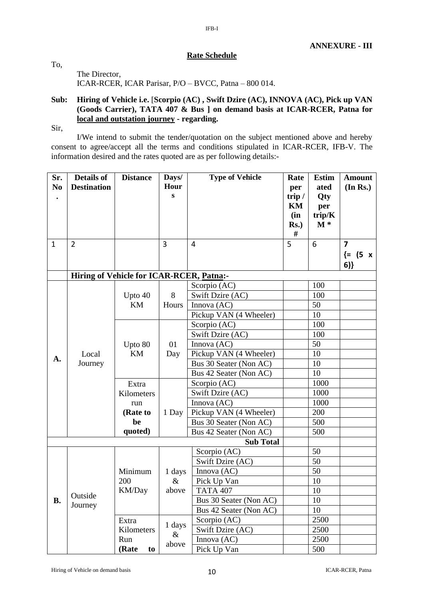## **Rate Schedule**

IFB-I

The Director, ICAR-RCER, ICAR Parisar, P/O – BVCC, Patna – 800 014.

### **Sub: Hiring of Vehicle i.e.** [**Scorpio (AC) , Swift Dzire (AC), INNOVA (AC), Pick up VAN (Goods Carrier), TATA 407 & Bus ] on demand basis at ICAR-RCER, Patna for local and outstation journey - regarding.**

Sir,

To,

I/We intend to submit the tender/quotation on the subject mentioned above and hereby consent to agree/accept all the terms and conditions stipulated in ICAR-RCER, IFB-V. The information desired and the rates quoted are as per following details:-

| Sr.              | <b>Details of</b>                        | <b>Distance</b> | Days/     | <b>Type of Vehicle</b> | Rate     | <b>Estim</b> | <b>Amount</b>           |
|------------------|------------------------------------------|-----------------|-----------|------------------------|----------|--------------|-------------------------|
| N <sub>0</sub>   | <b>Destination</b>                       |                 | Hour      |                        | per      | ated         | (In Rs.)                |
|                  |                                          |                 | ${\bf S}$ |                        | trip $/$ | Qty          |                         |
|                  |                                          |                 |           |                        | KM       | per          |                         |
|                  |                                          |                 |           |                        | (in      | trip/K       |                         |
|                  |                                          |                 |           |                        | $Rs.$ )  | $M^*$        |                         |
|                  |                                          |                 |           |                        | #        |              |                         |
| $\mathbf{1}$     | $\overline{2}$                           |                 | 3         | $\overline{4}$         | 5        | 6            | $\overline{\mathbf{z}}$ |
|                  |                                          |                 |           |                        |          |              | $\{ = (5 \times$        |
|                  |                                          |                 |           |                        |          |              | 6)                      |
|                  | Hiring of Vehicle for ICAR-RCER, Patna:- |                 |           |                        |          |              |                         |
|                  |                                          |                 |           | Scorpio (AC)           |          | 100          |                         |
|                  |                                          | Upto 40         | 8         | Swift Dzire (AC)       |          | 100          |                         |
|                  |                                          | KM              | Hours     | Innova (AC)            |          | 50           |                         |
|                  |                                          |                 |           | Pickup VAN (4 Wheeler) |          | 10           |                         |
|                  |                                          |                 |           | Scorpio (AC)           |          | 100          |                         |
|                  |                                          |                 |           | Swift Dzire (AC)       |          | 100          |                         |
|                  | Local<br>Journey                         | Upto 80<br>KM   | 01<br>Day | Innova (AC)            |          | 50           |                         |
| A.               |                                          |                 |           | Pickup VAN (4 Wheeler) |          | 10           |                         |
|                  |                                          |                 |           | Bus 30 Seater (Non AC) |          | 10           |                         |
|                  |                                          |                 |           | Bus 42 Seater (Non AC) |          | 10           |                         |
|                  |                                          | Extra           |           | Scorpio (AC)           |          | 1000         |                         |
|                  |                                          | Kilometers      |           | Swift Dzire (AC)       |          | 1000         |                         |
|                  |                                          | run             |           | Innova (AC)            |          | 1000         |                         |
|                  |                                          | (Rate to        | 1 Day     | Pickup VAN (4 Wheeler) |          | 200          |                         |
|                  |                                          | be              |           | Bus 30 Seater (Non AC) |          | 500          |                         |
|                  |                                          | quoted)         |           | Bus 42 Seater (Non AC) |          | 500          |                         |
| <b>Sub Total</b> |                                          |                 |           |                        |          |              |                         |
|                  |                                          |                 |           | Scorpio (AC)           |          | 50           |                         |
|                  |                                          |                 |           | Swift Dzire (AC)       |          | 50           |                         |
|                  |                                          | Minimum         | 1 days    | Innova (AC)            |          | 50           |                         |
|                  |                                          | 200             | $\&$      | Pick Up Van            |          | 10           |                         |
|                  | Outside                                  | KM/Day          | above     | <b>TATA 407</b>        |          | 10           |                         |
| <b>B.</b>        | Journey                                  |                 |           | Bus 30 Seater (Non AC) |          | 10           |                         |
|                  |                                          |                 |           | Bus 42 Seater (Non AC) |          | 10           |                         |
|                  |                                          | Extra           | 1 days    | Scorpio (AC)           |          | 2500         |                         |
|                  |                                          | Kilometers      | $\&$      | Swift Dzire (AC)       |          | 2500         |                         |
|                  |                                          | Run             | above     | Innova (AC)            |          | 2500         |                         |
|                  |                                          | (Rate<br>to     |           | Pick Up Van            |          | 500          |                         |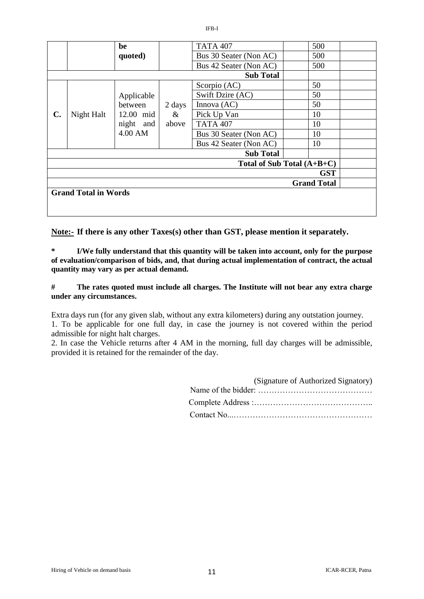|                              |            | be                                           |                         | <b>TATA 407</b>        | 500 |  |
|------------------------------|------------|----------------------------------------------|-------------------------|------------------------|-----|--|
| quoted)                      |            | Bus 30 Seater (Non AC)                       | 500                     |                        |     |  |
|                              |            |                                              |                         | Bus 42 Seater (Non AC) | 500 |  |
|                              |            |                                              |                         | <b>Sub Total</b>       |     |  |
|                              |            |                                              | 2 days<br>$\&$<br>above | Scorpio (AC)           | 50  |  |
|                              |            | Applicable                                   |                         | Swift Dzire (AC)       | 50  |  |
| $\mathbf{C}$ .               | Night Halt | between<br>12.00 mid<br>night and<br>4.00 AM |                         | Innova $(AC)$          | 50  |  |
|                              |            |                                              |                         | Pick Up Van            | 10  |  |
|                              |            |                                              |                         | <b>TATA 407</b>        | 10  |  |
|                              |            |                                              |                         | Bus 30 Seater (Non AC) | 10  |  |
|                              |            |                                              |                         | Bus 42 Seater (Non AC) | 10  |  |
|                              |            |                                              |                         | <b>Sub Total</b>       |     |  |
| Total of Sub Total $(A+B+C)$ |            |                                              |                         |                        |     |  |
| <b>GST</b>                   |            |                                              |                         |                        |     |  |
| <b>Grand Total</b>           |            |                                              |                         |                        |     |  |
| <b>Grand Total in Words</b>  |            |                                              |                         |                        |     |  |
|                              |            |                                              |                         |                        |     |  |

**Note:- If there is any other Taxes(s) other than GST, please mention it separately.**

**\* I/We fully understand that this quantity will be taken into account, only for the purpose of evaluation/comparison of bids, and, that during actual implementation of contract, the actual quantity may vary as per actual demand.**

**# The rates quoted must include all charges. The Institute will not bear any extra charge under any circumstances.**

Extra days run (for any given slab, without any extra kilometers) during any outstation journey. 1. To be applicable for one full day, in case the journey is not covered within the period admissible for night halt charges.

2. In case the Vehicle returns after 4 AM in the morning, full day charges will be admissible, provided it is retained for the remainder of the day.

| (Signature of Authorized Signatory) |
|-------------------------------------|
|                                     |
|                                     |
|                                     |

IFB-I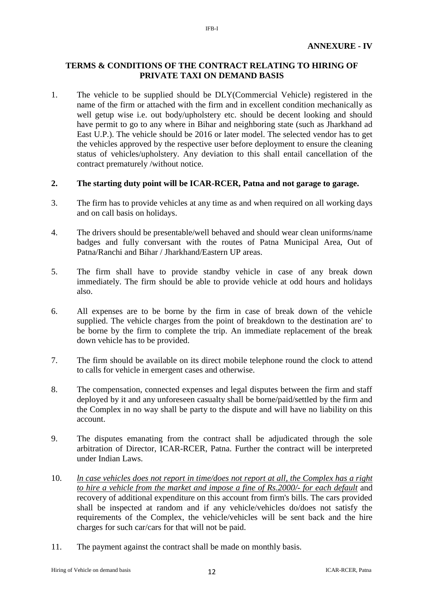## **TERMS & CONDITIONS OF THE CONTRACT RELATING TO HIRING OF PRIVATE TAXI ON DEMAND BASIS**

IFB-I

1. The vehicle to be supplied should be DLY(Commercial Vehicle) registered in the name of the firm or attached with the firm and in excellent condition mechanically as well getup wise i.e. out body/upholstery etc. should be decent looking and should have permit to go to any where in Bihar and neighboring state (such as Jharkhand ad East U.P.). The vehicle should be 2016 or later model. The selected vendor has to get the vehicles approved by the respective user before deployment to ensure the cleaning status of vehicles/upholstery. Any deviation to this shall entail cancellation of the contract prematurely /without notice.

## **2. The starting duty point will be ICAR-RCER, Patna and not garage to garage.**

- 3. The firm has to provide vehicles at any time as and when required on all working days and on call basis on holidays.
- 4. The drivers should be presentable/well behaved and should wear clean uniforms/name badges and fully conversant with the routes of Patna Municipal Area, Out of Patna/Ranchi and Bihar / Jharkhand/Eastern UP areas.
- 5. The firm shall have to provide standby vehicle in case of any break down immediately. The firm should be able to provide vehicle at odd hours and holidays also.
- 6. All expenses are to be borne by the firm in case of break down of the vehicle supplied. The vehicle charges from the point of breakdown to the destination are' to be borne by the firm to complete the trip. An immediate replacement of the break down vehicle has to be provided.
- 7. The firm should be available on its direct mobile telephone round the clock to attend to calls for vehicle in emergent cases and otherwise.
- 8. The compensation, connected expenses and legal disputes between the firm and staff deployed by it and any unforeseen casualty shall be borne/paid/settled by the firm and the Complex in no way shall be party to the dispute and will have no liability on this account.
- 9. The disputes emanating from the contract shall be adjudicated through the sole arbitration of Director, ICAR-RCER, Patna. Further the contract will be interpreted under Indian Laws.
- 10. *ln case vehicles does not report in time/does not report at all, the Complex has a right to hire a vehicle from the market and impose a fine of Rs.2000/- for each default* and recovery of additional expenditure on this account from firm's bills. The cars provided shall be inspected at random and if any vehicle/vehicles do/does not satisfy the requirements of the Complex, the vehicle/vehicles will be sent back and the hire charges for such car/cars for that will not be paid.
- 11. The payment against the contract shall be made on monthly basis.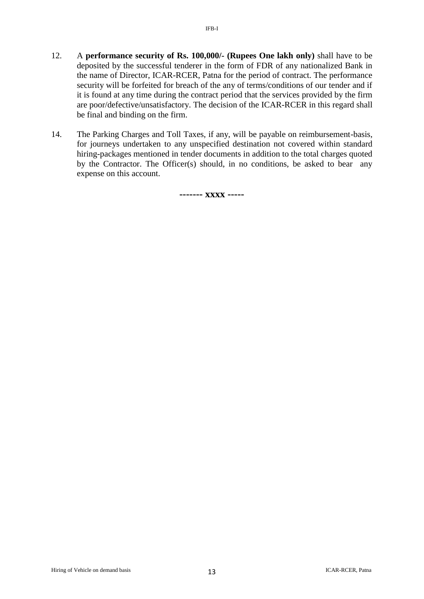- 12. A **performance security of Rs. 100,000/- (Rupees One lakh only)** shall have to be deposited by the successful tenderer in the form of FDR of any nationalized Bank in the name of Director, ICAR-RCER, Patna for the period of contract. The performance security will be forfeited for breach of the any of terms/conditions of our tender and if it is found at any time during the contract period that the services provided by the firm are poor/defective/unsatisfactory. The decision of the ICAR-RCER in this regard shall be final and binding on the firm.
- 14. The Parking Charges and Toll Taxes, if any, will be payable on reimbursement-basis, for journeys undertaken to any unspecified destination not covered within standard hiring-packages mentioned in tender documents in addition to the total charges quoted by the Contractor. The Officer(s) should, in no conditions, be asked to bear any expense on this account.

**------- xxxx -----**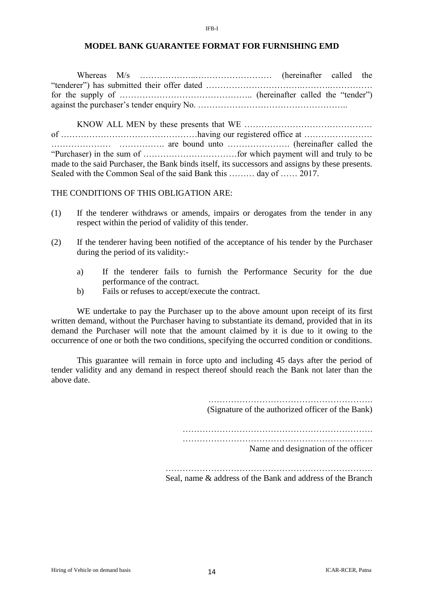#### **MODEL BANK GUARANTEE FORMAT FOR FURNISHING EMD**

IFB-I

Whereas M/s ………………..……………………… (hereinafter called the "tenderer") has submitted their offer dated …………………………….……….…………… for the supply of ……………………………………….. (hereinafter called the "tender") against the purchaser"s tender enquiry No. ……………………………………………..

KNOW ALL MEN by these presents that WE ……………………………………… of …………………………………………having our registered office at …………………… ………………… ……………. are bound unto …………………. (hereinafter called the "Purchaser) in the sum of ……………………………for which payment will and truly to be made to the said Purchaser, the Bank binds itself, its successors and assigns by these presents. Sealed with the Common Seal of the said Bank this ……… day of …… 2017.

THE CONDITIONS OF THIS OBLIGATION ARE:

- (1) If the tenderer withdraws or amends, impairs or derogates from the tender in any respect within the period of validity of this tender.
- (2) If the tenderer having been notified of the acceptance of his tender by the Purchaser during the period of its validity:
	- a) If the tenderer fails to furnish the Performance Security for the due performance of the contract.
	- b) Fails or refuses to accept/execute the contract.

WE undertake to pay the Purchaser up to the above amount upon receipt of its first written demand, without the Purchaser having to substantiate its demand, provided that in its demand the Purchaser will note that the amount claimed by it is due to it owing to the occurrence of one or both the two conditions, specifying the occurred condition or conditions.

This guarantee will remain in force upto and including 45 days after the period of tender validity and any demand in respect thereof should reach the Bank not later than the above date.

(Signature of the authorized officer of the Bank)

…………………………………………………………. ………………………………………………………….

Name and designation of the officer

Seal, name & address of the Bank and address of the Branch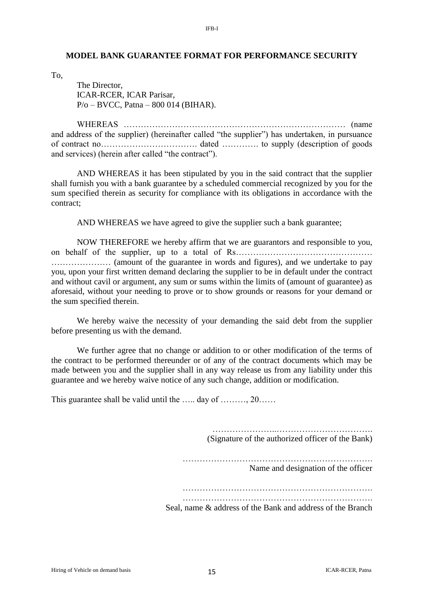#### **MODEL BANK GUARANTEE FORMAT FOR PERFORMANCE SECURITY**

To,

The Director, ICAR-RCER, ICAR Parisar, P/o – BVCC, Patna – 800 014 (BIHAR).

WHEREAS …………………………………………………………………… (name and address of the supplier) (hereinafter called "the supplier") has undertaken, in pursuance of contract no……………………………. dated …………. to supply (description of goods and services) (herein after called "the contract").

AND WHEREAS it has been stipulated by you in the said contract that the supplier shall furnish you with a bank guarantee by a scheduled commercial recognized by you for the sum specified therein as security for compliance with its obligations in accordance with the contract;

AND WHEREAS we have agreed to give the supplier such a bank guarantee;

NOW THEREFORE we hereby affirm that we are guarantors and responsible to you, on behalf of the supplier, up to a total of Rs…………………………………………………………………………………………… ………………… (amount of the guarantee in words and figures), and we undertake to pay you, upon your first written demand declaring the supplier to be in default under the contract and without cavil or argument, any sum or sums within the limits of (amount of guarantee) as aforesaid, without your needing to prove or to show grounds or reasons for your demand or the sum specified therein.

We hereby waive the necessity of your demanding the said debt from the supplier before presenting us with the demand.

We further agree that no change or addition to or other modification of the terms of the contract to be performed thereunder or of any of the contract documents which may be made between you and the supplier shall in any way release us from any liability under this guarantee and we hereby waive notice of any such change, addition or modification.

This guarantee shall be valid until the …… day of ………, 20……

(Signature of the authorized officer of the Bank) …………………………………………………………. Name and designation of the officer …………………………………………………………. Seal, name & address of the Bank and address of the Branch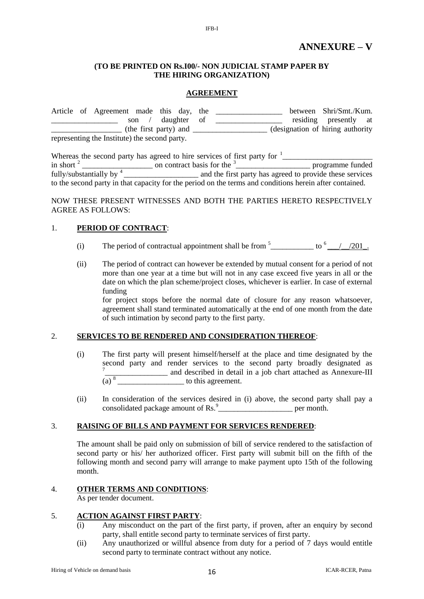#### **(TO BE PRINTED ON Rs.I00/- NON JUDICIAL STAMP PAPER BY THE HIRING ORGANIZATION)**

IFB-I

#### **AGREEMENT**

|  | Article of Agreement made this day, the       |             |  | between Shri/Smt./Kum.            |  |
|--|-----------------------------------------------|-------------|--|-----------------------------------|--|
|  | son                                           | daughter of |  | residing presently at             |  |
|  | (the first party) and                         |             |  | (designation of hiring authority) |  |
|  | representing the Institute) the second party. |             |  |                                   |  |

|                                   | Whereas the second party has agreed to hire services of first party for <sup>1</sup>                    |                                                          |
|-----------------------------------|---------------------------------------------------------------------------------------------------------|----------------------------------------------------------|
| in short $2$                      | on contract basis for the <sup>3</sup>                                                                  | programme funded                                         |
| fully/substantially by $4\degree$ |                                                                                                         | and the first party has agreed to provide these services |
|                                   | to the second party in that capacity for the period on the terms and conditions herein after contained. |                                                          |

NOW THESE PRESENT WITNESSES AND BOTH THE PARTIES HERETO RESPECTIVELY AGREE AS FOLLOWS:

#### 1. **PERIOD OF CONTRACT**:

- (i) The period of contractual appointment shall be from  $5$  \_\_\_\_\_\_\_\_\_\_\_\_ to  $6$  \_\_\_/\_\_\_/201\_.
- (ii) The period of contract can however be extended by mutual consent for a period of not more than one year at a time but will not in any case exceed five years in all or the date on which the plan scheme/project closes, whichever is earlier. In case of external funding

for project stops before the normal date of closure for any reason whatsoever, agreement shall stand terminated automatically at the end of one month from the date of such intimation by second party to the first party.

### 2. **SERVICES TO BE RENDERED AND CONSIDERATION THEREOF**:

- (i) The first party will present himself/herself at the place and time designated by the second party and render services to the second party broadly designated as 7 \_\_\_\_\_\_\_\_\_\_\_\_\_\_\_\_ and described in detail in a job chart attached as Annexure-III  $(a)$ <sup>8</sup> to this agreement.
- (ii) In consideration of the services desired in (i) above, the second party shall pay a consolidated package amount of Rs.<sup>9</sup> per month.

#### 3. **RAISING OF BILLS AND PAYMENT FOR SERVICES RENDERED**:

The amount shall be paid only on submission of bill of service rendered to the satisfaction of second party or his/ her authorized officer. First party will submit bill on the fifth of the following month and second parry will arrange to make payment upto 15th of the following month.

#### 4. **OTHER TERMS AND CONDITIONS**:

As per tender document.

#### 5. **ACTION AGAINST FIRST PARTY**:

- (i) Any misconduct on the part of the first party, if proven, after an enquiry by second party, shall entitle second party to terminate services of first party.
- (ii) Any unauthorized or willful absence from duty for a period of 7 days would entitle second party to terminate contract without any notice.